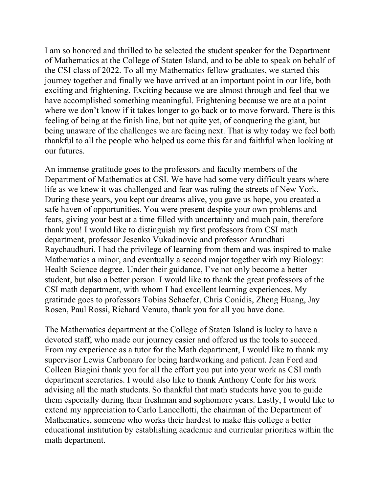I am so honored and thrilled to be selected the student speaker for the Department of Mathematics at the College of Staten Island, and to be able to speak on behalf of the CSI class of 2022. To all my Mathematics fellow graduates, we started this journey together and finally we have arrived at an important point in our life, both exciting and frightening. Exciting because we are almost through and feel that we have accomplished something meaningful. Frightening because we are at a point where we don't know if it takes longer to go back or to move forward. There is this feeling of being at the finish line, but not quite yet, of conquering the giant, but being unaware of the challenges we are facing next. That is why today we feel both thankful to all the people who helped us come this far and faithful when looking at our futures.

An immense gratitude goes to the professors and faculty members of the Department of Mathematics at CSI. We have had some very difficult years where life as we knew it was challenged and fear was ruling the streets of New York. During these years, you kept our dreams alive, you gave us hope, you created a safe haven of opportunities. You were present despite your own problems and fears, giving your best at a time filled with uncertainty and much pain, therefore thank you! I would like to distinguish my first professors from CSI math department, professor Jesenko Vukadinovic and professor Arundhati Raychaudhuri. I had the privilege of learning from them and was inspired to make Mathematics a minor, and eventually a second major together with my Biology: Health Science degree. Under their guidance, I've not only become a better student, but also a better person. I would like to thank the great professors of the CSI math department, with whom I had excellent learning experiences. My gratitude goes to professors Tobias Schaefer, Chris Conidis, Zheng Huang, Jay Rosen, Paul Rossi, Richard Venuto, thank you for all you have done.

The Mathematics department at the College of Staten Island is lucky to have a devoted staff, who made our journey easier and offered us the tools to succeed. From my experience as a tutor for the Math department, I would like to thank my supervisor Lewis Carbonaro for being hardworking and patient. Jean Ford and Colleen Biagini thank you for all the effort you put into your work as CSI math department secretaries. I would also like to thank Anthony Conte for his work advising all the math students. So thankful that math students have you to guide them especially during their freshman and sophomore years. Lastly, I would like to extend my appreciation to Carlo Lancellotti, the chairman of the Department of Mathematics, someone who works their hardest to make this college a better educational institution by establishing academic and curricular priorities within the math department.